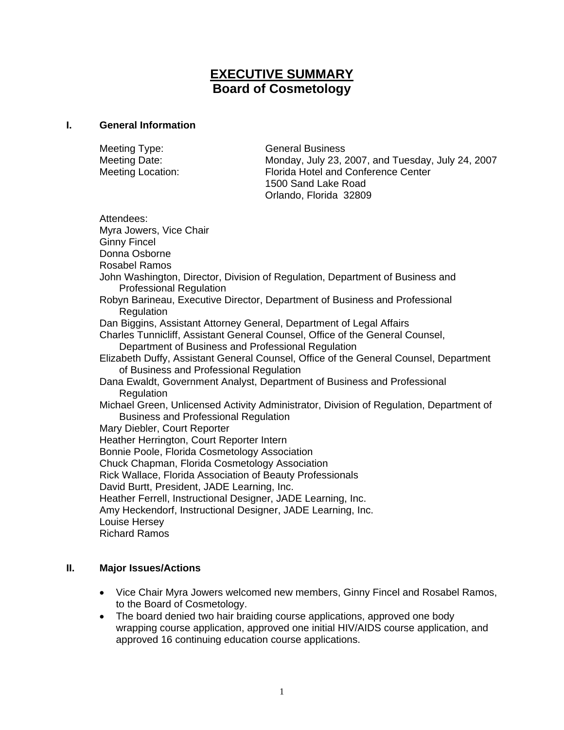# **EXECUTIVE SUMMARY Board of Cosmetology**

#### **I. General Information**

| Meeting Type:     | <b>General Business</b>                           |
|-------------------|---------------------------------------------------|
| Meeting Date:     | Monday, July 23, 2007, and Tuesday, July 24, 2007 |
| Meeting Location: | Florida Hotel and Conference Center               |
|                   | 1500 Sand Lake Road                               |
|                   | Orlando, Florida 32809                            |

Attendees: Myra Jowers, Vice Chair Ginny Fincel Donna Osborne Rosabel Ramos John Washington, Director, Division of Regulation, Department of Business and Professional Regulation Robyn Barineau, Executive Director, Department of Business and Professional Regulation Dan Biggins, Assistant Attorney General, Department of Legal Affairs Charles Tunnicliff, Assistant General Counsel, Office of the General Counsel, Department of Business and Professional Regulation Elizabeth Duffy, Assistant General Counsel, Office of the General Counsel, Department of Business and Professional Regulation Dana Ewaldt, Government Analyst, Department of Business and Professional Regulation Michael Green, Unlicensed Activity Administrator, Division of Regulation, Department of Business and Professional Regulation Mary Diebler, Court Reporter Heather Herrington, Court Reporter Intern Bonnie Poole, Florida Cosmetology Association Chuck Chapman, Florida Cosmetology Association Rick Wallace, Florida Association of Beauty Professionals David Burtt, President, JADE Learning, Inc. Heather Ferrell, Instructional Designer, JADE Learning, Inc. Amy Heckendorf, Instructional Designer, JADE Learning, Inc. Louise Hersey Richard Ramos

#### **II. Major Issues/Actions**

- Vice Chair Myra Jowers welcomed new members, Ginny Fincel and Rosabel Ramos, to the Board of Cosmetology.
- The board denied two hair braiding course applications, approved one body wrapping course application, approved one initial HIV/AIDS course application, and approved 16 continuing education course applications.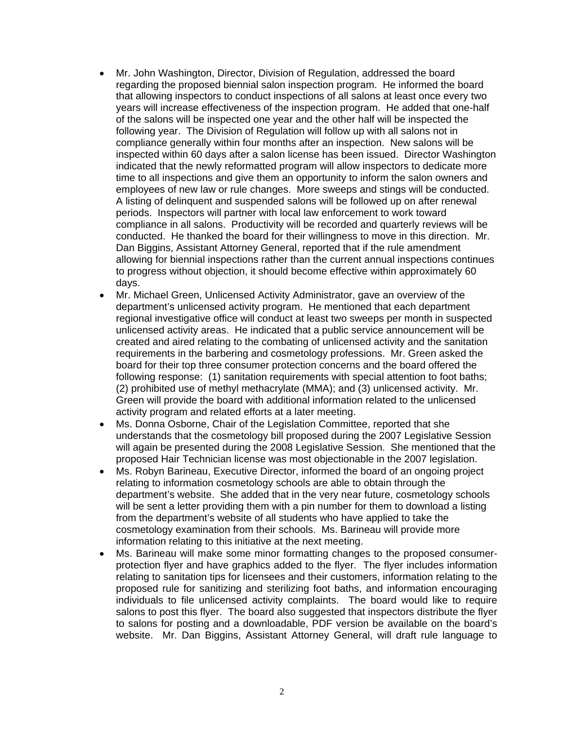- Mr. John Washington, Director, Division of Regulation, addressed the board regarding the proposed biennial salon inspection program. He informed the board that allowing inspectors to conduct inspections of all salons at least once every two years will increase effectiveness of the inspection program. He added that one-half of the salons will be inspected one year and the other half will be inspected the following year. The Division of Regulation will follow up with all salons not in compliance generally within four months after an inspection. New salons will be inspected within 60 days after a salon license has been issued. Director Washington indicated that the newly reformatted program will allow inspectors to dedicate more time to all inspections and give them an opportunity to inform the salon owners and employees of new law or rule changes. More sweeps and stings will be conducted. A listing of delinquent and suspended salons will be followed up on after renewal periods. Inspectors will partner with local law enforcement to work toward compliance in all salons. Productivity will be recorded and quarterly reviews will be conducted. He thanked the board for their willingness to move in this direction. Mr. Dan Biggins, Assistant Attorney General, reported that if the rule amendment allowing for biennial inspections rather than the current annual inspections continues to progress without objection, it should become effective within approximately 60 days.
- Mr. Michael Green, Unlicensed Activity Administrator, gave an overview of the department's unlicensed activity program. He mentioned that each department regional investigative office will conduct at least two sweeps per month in suspected unlicensed activity areas. He indicated that a public service announcement will be created and aired relating to the combating of unlicensed activity and the sanitation requirements in the barbering and cosmetology professions. Mr. Green asked the board for their top three consumer protection concerns and the board offered the following response: (1) sanitation requirements with special attention to foot baths; (2) prohibited use of methyl methacrylate (MMA); and (3) unlicensed activity. Mr. Green will provide the board with additional information related to the unlicensed activity program and related efforts at a later meeting.
- Ms. Donna Osborne, Chair of the Legislation Committee, reported that she understands that the cosmetology bill proposed during the 2007 Legislative Session will again be presented during the 2008 Legislative Session. She mentioned that the proposed Hair Technician license was most objectionable in the 2007 legislation.
- Ms. Robyn Barineau, Executive Director, informed the board of an ongoing project relating to information cosmetology schools are able to obtain through the department's website. She added that in the very near future, cosmetology schools will be sent a letter providing them with a pin number for them to download a listing from the department's website of all students who have applied to take the cosmetology examination from their schools. Ms. Barineau will provide more information relating to this initiative at the next meeting.
- Ms. Barineau will make some minor formatting changes to the proposed consumerprotection flyer and have graphics added to the flyer. The flyer includes information relating to sanitation tips for licensees and their customers, information relating to the proposed rule for sanitizing and sterilizing foot baths, and information encouraging individuals to file unlicensed activity complaints. The board would like to require salons to post this flyer. The board also suggested that inspectors distribute the flyer to salons for posting and a downloadable, PDF version be available on the board's website. Mr. Dan Biggins, Assistant Attorney General, will draft rule language to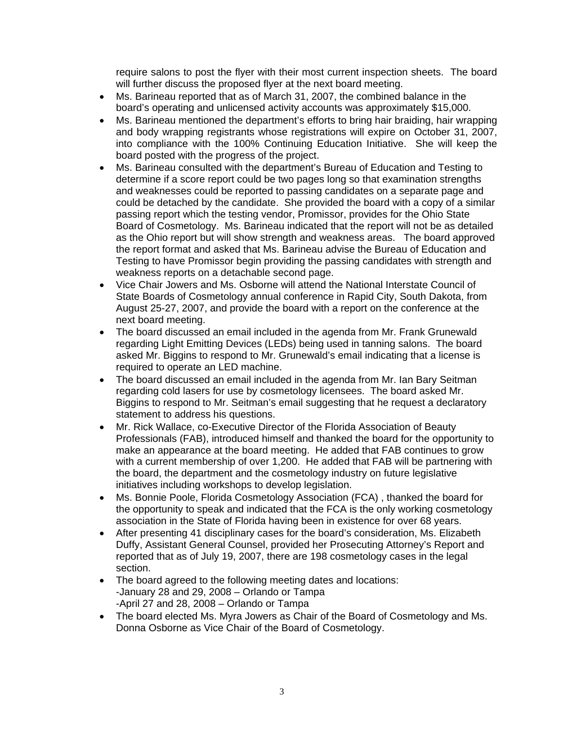require salons to post the flyer with their most current inspection sheets. The board will further discuss the proposed flyer at the next board meeting.

- Ms. Barineau reported that as of March 31, 2007, the combined balance in the board's operating and unlicensed activity accounts was approximately \$15,000.
- Ms. Barineau mentioned the department's efforts to bring hair braiding, hair wrapping and body wrapping registrants whose registrations will expire on October 31, 2007, into compliance with the 100% Continuing Education Initiative. She will keep the board posted with the progress of the project.
- Ms. Barineau consulted with the department's Bureau of Education and Testing to determine if a score report could be two pages long so that examination strengths and weaknesses could be reported to passing candidates on a separate page and could be detached by the candidate. She provided the board with a copy of a similar passing report which the testing vendor, Promissor, provides for the Ohio State Board of Cosmetology. Ms. Barineau indicated that the report will not be as detailed as the Ohio report but will show strength and weakness areas. The board approved the report format and asked that Ms. Barineau advise the Bureau of Education and Testing to have Promissor begin providing the passing candidates with strength and weakness reports on a detachable second page.
- Vice Chair Jowers and Ms. Osborne will attend the National Interstate Council of State Boards of Cosmetology annual conference in Rapid City, South Dakota, from August 25-27, 2007, and provide the board with a report on the conference at the next board meeting.
- The board discussed an email included in the agenda from Mr. Frank Grunewald regarding Light Emitting Devices (LEDs) being used in tanning salons. The board asked Mr. Biggins to respond to Mr. Grunewald's email indicating that a license is required to operate an LED machine.
- The board discussed an email included in the agenda from Mr. Ian Bary Seitman regarding cold lasers for use by cosmetology licensees. The board asked Mr. Biggins to respond to Mr. Seitman's email suggesting that he request a declaratory statement to address his questions.
- Mr. Rick Wallace, co-Executive Director of the Florida Association of Beauty Professionals (FAB), introduced himself and thanked the board for the opportunity to make an appearance at the board meeting. He added that FAB continues to grow with a current membership of over 1,200. He added that FAB will be partnering with the board, the department and the cosmetology industry on future legislative initiatives including workshops to develop legislation.
- Ms. Bonnie Poole, Florida Cosmetology Association (FCA) , thanked the board for the opportunity to speak and indicated that the FCA is the only working cosmetology association in the State of Florida having been in existence for over 68 years.
- After presenting 41 disciplinary cases for the board's consideration, Ms. Elizabeth Duffy, Assistant General Counsel, provided her Prosecuting Attorney's Report and reported that as of July 19, 2007, there are 198 cosmetology cases in the legal section.
- The board agreed to the following meeting dates and locations: -January 28 and 29, 2008 – Orlando or Tampa -April 27 and 28, 2008 – Orlando or Tampa
- The board elected Ms. Myra Jowers as Chair of the Board of Cosmetology and Ms. Donna Osborne as Vice Chair of the Board of Cosmetology.